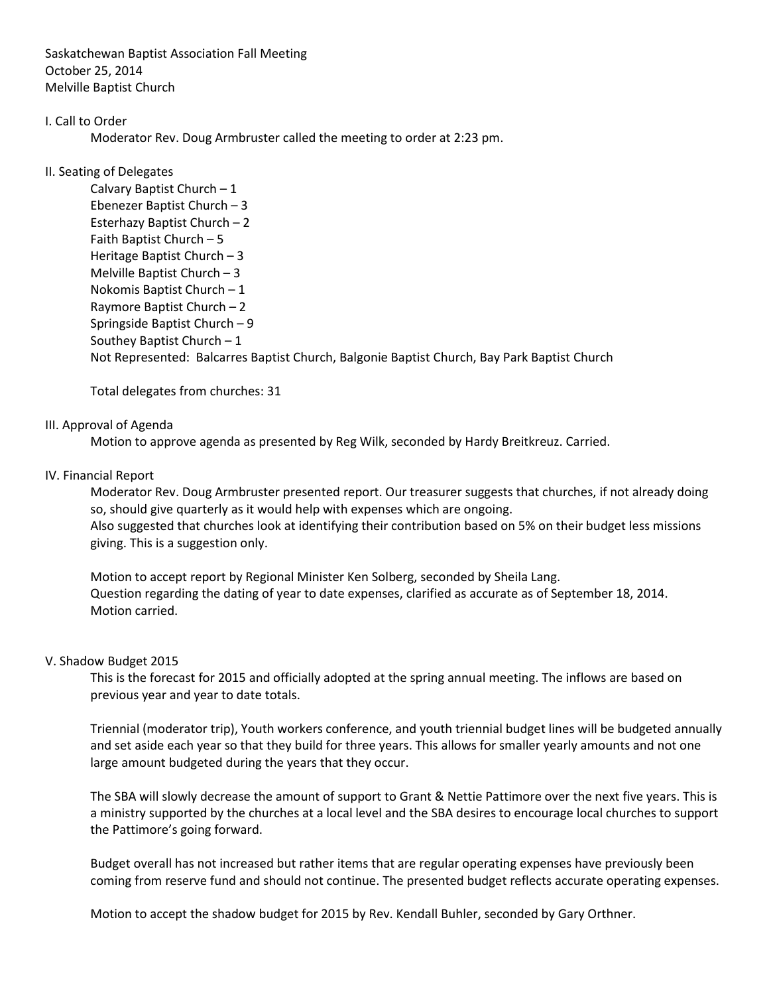Saskatchewan Baptist Association Fall Meeting October 25, 2014 Melville Baptist Church

## I. Call to Order

Moderator Rev. Doug Armbruster called the meeting to order at 2:23 pm.

# II. Seating of Delegates

Calvary Baptist Church – 1 Ebenezer Baptist Church – 3 Esterhazy Baptist Church – 2 Faith Baptist Church – 5 Heritage Baptist Church – 3 Melville Baptist Church – 3 Nokomis Baptist Church – 1 Raymore Baptist Church – 2 Springside Baptist Church – 9 Southey Baptist Church – 1 Not Represented: Balcarres Baptist Church, Balgonie Baptist Church, Bay Park Baptist Church

Total delegates from churches: 31

# III. Approval of Agenda

Motion to approve agenda as presented by Reg Wilk, seconded by Hardy Breitkreuz. Carried.

# IV. Financial Report

Moderator Rev. Doug Armbruster presented report. Our treasurer suggests that churches, if not already doing so, should give quarterly as it would help with expenses which are ongoing. Also suggested that churches look at identifying their contribution based on 5% on their budget less missions giving. This is a suggestion only.

Motion to accept report by Regional Minister Ken Solberg, seconded by Sheila Lang. Question regarding the dating of year to date expenses, clarified as accurate as of September 18, 2014. Motion carried.

### V. Shadow Budget 2015

This is the forecast for 2015 and officially adopted at the spring annual meeting. The inflows are based on previous year and year to date totals.

Triennial (moderator trip), Youth workers conference, and youth triennial budget lines will be budgeted annually and set aside each year so that they build for three years. This allows for smaller yearly amounts and not one large amount budgeted during the years that they occur.

The SBA will slowly decrease the amount of support to Grant & Nettie Pattimore over the next five years. This is a ministry supported by the churches at a local level and the SBA desires to encourage local churches to support the Pattimore's going forward.

Budget overall has not increased but rather items that are regular operating expenses have previously been coming from reserve fund and should not continue. The presented budget reflects accurate operating expenses.

Motion to accept the shadow budget for 2015 by Rev. Kendall Buhler, seconded by Gary Orthner.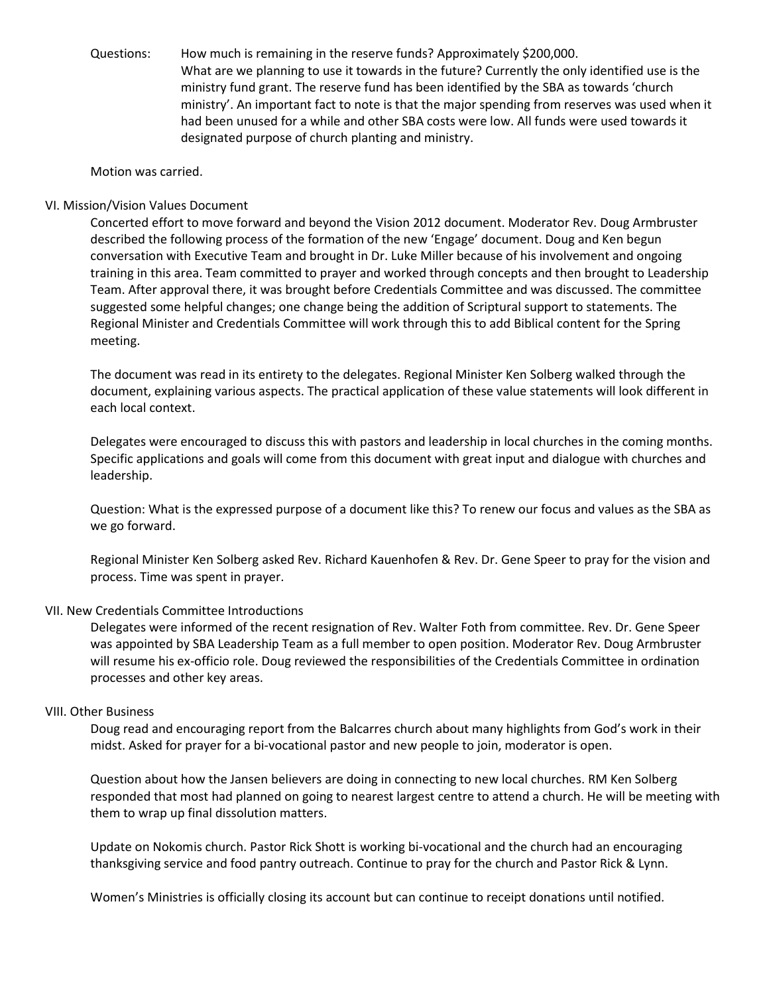Questions: How much is remaining in the reserve funds? Approximately \$200,000. What are we planning to use it towards in the future? Currently the only identified use is the ministry fund grant. The reserve fund has been identified by the SBA as towards 'church ministry'. An important fact to note is that the major spending from reserves was used when it had been unused for a while and other SBA costs were low. All funds were used towards it designated purpose of church planting and ministry.

Motion was carried.

### VI. Mission/Vision Values Document

Concerted effort to move forward and beyond the Vision 2012 document. Moderator Rev. Doug Armbruster described the following process of the formation of the new 'Engage' document. Doug and Ken begun conversation with Executive Team and brought in Dr. Luke Miller because of his involvement and ongoing training in this area. Team committed to prayer and worked through concepts and then brought to Leadership Team. After approval there, it was brought before Credentials Committee and was discussed. The committee suggested some helpful changes; one change being the addition of Scriptural support to statements. The Regional Minister and Credentials Committee will work through this to add Biblical content for the Spring meeting.

The document was read in its entirety to the delegates. Regional Minister Ken Solberg walked through the document, explaining various aspects. The practical application of these value statements will look different in each local context.

Delegates were encouraged to discuss this with pastors and leadership in local churches in the coming months. Specific applications and goals will come from this document with great input and dialogue with churches and leadership.

Question: What is the expressed purpose of a document like this? To renew our focus and values as the SBA as we go forward.

Regional Minister Ken Solberg asked Rev. Richard Kauenhofen & Rev. Dr. Gene Speer to pray for the vision and process. Time was spent in prayer.

#### VII. New Credentials Committee Introductions

Delegates were informed of the recent resignation of Rev. Walter Foth from committee. Rev. Dr. Gene Speer was appointed by SBA Leadership Team as a full member to open position. Moderator Rev. Doug Armbruster will resume his ex-officio role. Doug reviewed the responsibilities of the Credentials Committee in ordination processes and other key areas.

#### VIII. Other Business

Doug read and encouraging report from the Balcarres church about many highlights from God's work in their midst. Asked for prayer for a bi-vocational pastor and new people to join, moderator is open.

Question about how the Jansen believers are doing in connecting to new local churches. RM Ken Solberg responded that most had planned on going to nearest largest centre to attend a church. He will be meeting with them to wrap up final dissolution matters.

Update on Nokomis church. Pastor Rick Shott is working bi-vocational and the church had an encouraging thanksgiving service and food pantry outreach. Continue to pray for the church and Pastor Rick & Lynn.

Women's Ministries is officially closing its account but can continue to receipt donations until notified.